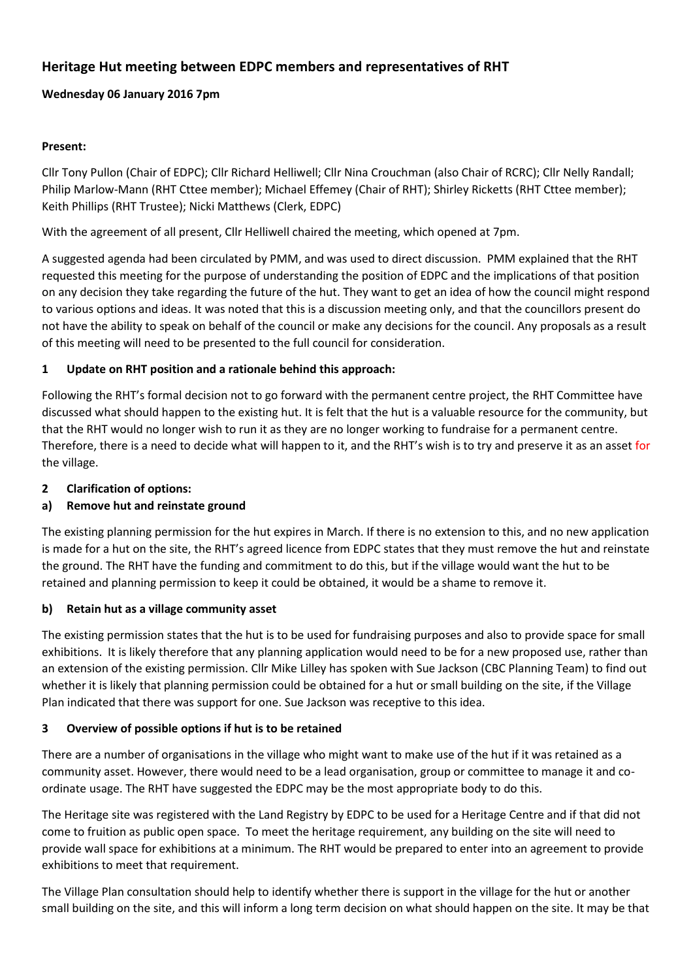# **Heritage Hut meeting between EDPC members and representatives of RHT**

## **Wednesday 06 January 2016 7pm**

#### **Present:**

Cllr Tony Pullon (Chair of EDPC); Cllr Richard Helliwell; Cllr Nina Crouchman (also Chair of RCRC); Cllr Nelly Randall; Philip Marlow-Mann (RHT Cttee member); Michael Effemey (Chair of RHT); Shirley Ricketts (RHT Cttee member); Keith Phillips (RHT Trustee); Nicki Matthews (Clerk, EDPC)

With the agreement of all present, Cllr Helliwell chaired the meeting, which opened at 7pm.

A suggested agenda had been circulated by PMM, and was used to direct discussion. PMM explained that the RHT requested this meeting for the purpose of understanding the position of EDPC and the implications of that position on any decision they take regarding the future of the hut. They want to get an idea of how the council might respond to various options and ideas. It was noted that this is a discussion meeting only, and that the councillors present do not have the ability to speak on behalf of the council or make any decisions for the council. Any proposals as a result of this meeting will need to be presented to the full council for consideration.

## **1 Update on RHT position and a rationale behind this approach:**

Following the RHT's formal decision not to go forward with the permanent centre project, the RHT Committee have discussed what should happen to the existing hut. It is felt that the hut is a valuable resource for the community, but that the RHT would no longer wish to run it as they are no longer working to fundraise for a permanent centre. Therefore, there is a need to decide what will happen to it, and the RHT's wish is to try and preserve it as an asset for the village.

## **2 Clarification of options:**

## **a) Remove hut and reinstate ground**

The existing planning permission for the hut expires in March. If there is no extension to this, and no new application is made for a hut on the site, the RHT's agreed licence from EDPC states that they must remove the hut and reinstate the ground. The RHT have the funding and commitment to do this, but if the village would want the hut to be retained and planning permission to keep it could be obtained, it would be a shame to remove it.

#### **b) Retain hut as a village community asset**

The existing permission states that the hut is to be used for fundraising purposes and also to provide space for small exhibitions. It is likely therefore that any planning application would need to be for a new proposed use, rather than an extension of the existing permission. Cllr Mike Lilley has spoken with Sue Jackson (CBC Planning Team) to find out whether it is likely that planning permission could be obtained for a hut or small building on the site, if the Village Plan indicated that there was support for one. Sue Jackson was receptive to this idea.

#### **3 Overview of possible options if hut is to be retained**

There are a number of organisations in the village who might want to make use of the hut if it was retained as a community asset. However, there would need to be a lead organisation, group or committee to manage it and coordinate usage. The RHT have suggested the EDPC may be the most appropriate body to do this.

The Heritage site was registered with the Land Registry by EDPC to be used for a Heritage Centre and if that did not come to fruition as public open space. To meet the heritage requirement, any building on the site will need to provide wall space for exhibitions at a minimum. The RHT would be prepared to enter into an agreement to provide exhibitions to meet that requirement.

The Village Plan consultation should help to identify whether there is support in the village for the hut or another small building on the site, and this will inform a long term decision on what should happen on the site. It may be that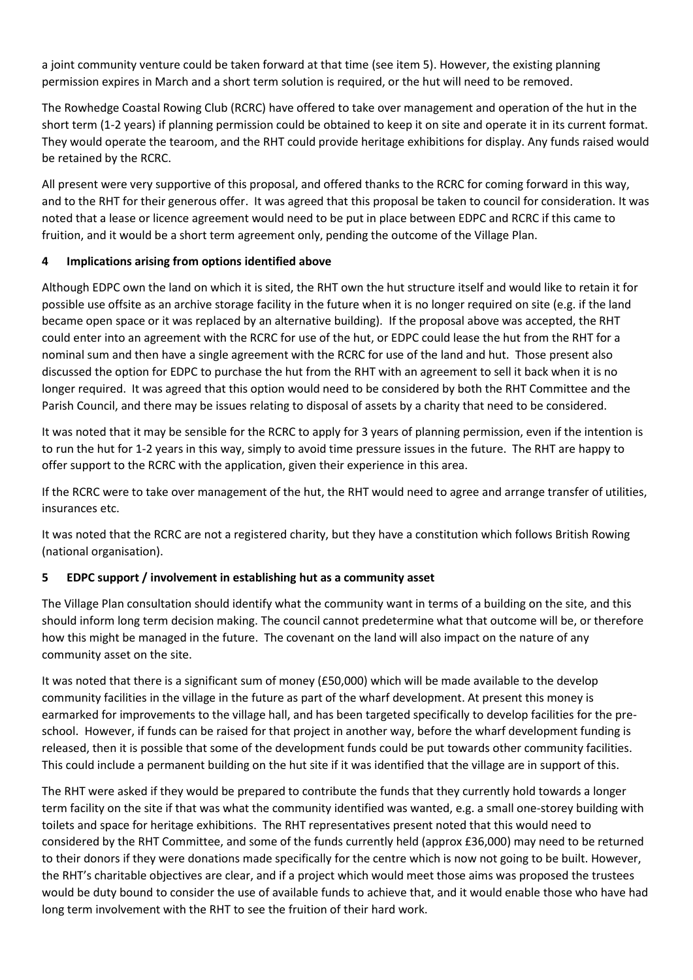a joint community venture could be taken forward at that time (see item 5). However, the existing planning permission expires in March and a short term solution is required, or the hut will need to be removed.

The Rowhedge Coastal Rowing Club (RCRC) have offered to take over management and operation of the hut in the short term (1-2 years) if planning permission could be obtained to keep it on site and operate it in its current format. They would operate the tearoom, and the RHT could provide heritage exhibitions for display. Any funds raised would be retained by the RCRC.

All present were very supportive of this proposal, and offered thanks to the RCRC for coming forward in this way, and to the RHT for their generous offer. It was agreed that this proposal be taken to council for consideration. It was noted that a lease or licence agreement would need to be put in place between EDPC and RCRC if this came to fruition, and it would be a short term agreement only, pending the outcome of the Village Plan.

## **4 Implications arising from options identified above**

Although EDPC own the land on which it is sited, the RHT own the hut structure itself and would like to retain it for possible use offsite as an archive storage facility in the future when it is no longer required on site (e.g. if the land became open space or it was replaced by an alternative building). If the proposal above was accepted, the RHT could enter into an agreement with the RCRC for use of the hut, or EDPC could lease the hut from the RHT for a nominal sum and then have a single agreement with the RCRC for use of the land and hut. Those present also discussed the option for EDPC to purchase the hut from the RHT with an agreement to sell it back when it is no longer required. It was agreed that this option would need to be considered by both the RHT Committee and the Parish Council, and there may be issues relating to disposal of assets by a charity that need to be considered.

It was noted that it may be sensible for the RCRC to apply for 3 years of planning permission, even if the intention is to run the hut for 1-2 years in this way, simply to avoid time pressure issues in the future. The RHT are happy to offer support to the RCRC with the application, given their experience in this area.

If the RCRC were to take over management of the hut, the RHT would need to agree and arrange transfer of utilities, insurances etc.

It was noted that the RCRC are not a registered charity, but they have a constitution which follows British Rowing (national organisation).

## **5 EDPC support / involvement in establishing hut as a community asset**

The Village Plan consultation should identify what the community want in terms of a building on the site, and this should inform long term decision making. The council cannot predetermine what that outcome will be, or therefore how this might be managed in the future. The covenant on the land will also impact on the nature of any community asset on the site.

It was noted that there is a significant sum of money (£50,000) which will be made available to the develop community facilities in the village in the future as part of the wharf development. At present this money is earmarked for improvements to the village hall, and has been targeted specifically to develop facilities for the preschool. However, if funds can be raised for that project in another way, before the wharf development funding is released, then it is possible that some of the development funds could be put towards other community facilities. This could include a permanent building on the hut site if it was identified that the village are in support of this.

The RHT were asked if they would be prepared to contribute the funds that they currently hold towards a longer term facility on the site if that was what the community identified was wanted, e.g. a small one-storey building with toilets and space for heritage exhibitions. The RHT representatives present noted that this would need to considered by the RHT Committee, and some of the funds currently held (approx £36,000) may need to be returned to their donors if they were donations made specifically for the centre which is now not going to be built. However, the RHT's charitable objectives are clear, and if a project which would meet those aims was proposed the trustees would be duty bound to consider the use of available funds to achieve that, and it would enable those who have had long term involvement with the RHT to see the fruition of their hard work.